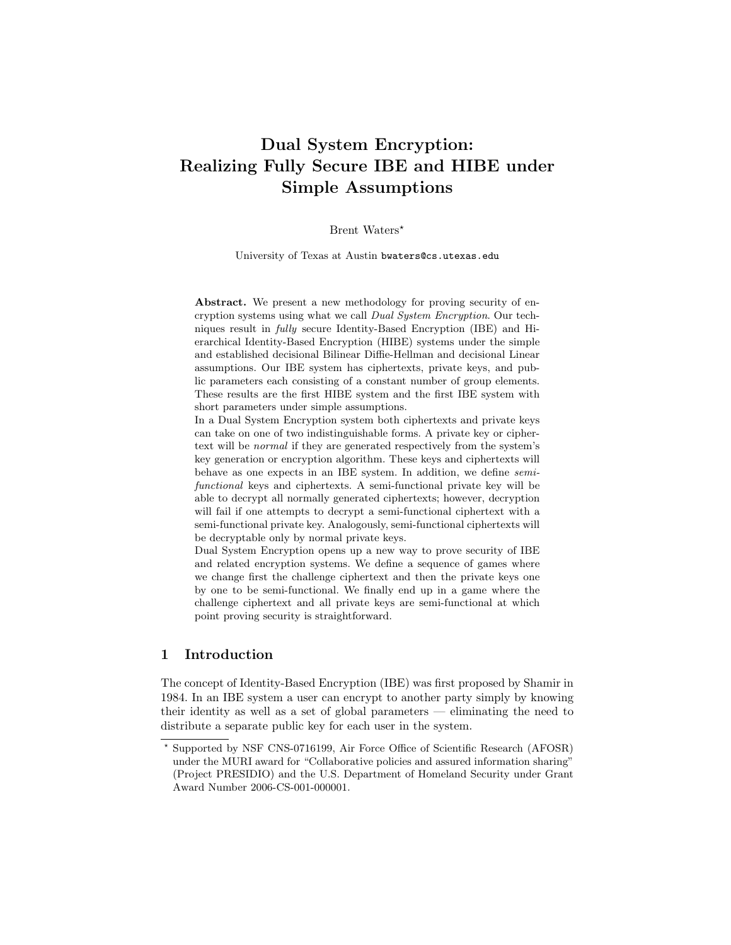# Dual System Encryption: Realizing Fully Secure IBE and HIBE under Simple Assumptions

# Brent Waters\*

University of Texas at Austin bwaters@cs.utexas.edu

Abstract. We present a new methodology for proving security of encryption systems using what we call Dual System Encryption. Our techniques result in fully secure Identity-Based Encryption (IBE) and Hierarchical Identity-Based Encryption (HIBE) systems under the simple and established decisional Bilinear Diffie-Hellman and decisional Linear assumptions. Our IBE system has ciphertexts, private keys, and public parameters each consisting of a constant number of group elements. These results are the first HIBE system and the first IBE system with short parameters under simple assumptions.

In a Dual System Encryption system both ciphertexts and private keys can take on one of two indistinguishable forms. A private key or ciphertext will be normal if they are generated respectively from the system's key generation or encryption algorithm. These keys and ciphertexts will behave as one expects in an IBE system. In addition, we define semifunctional keys and ciphertexts. A semi-functional private key will be able to decrypt all normally generated ciphertexts; however, decryption will fail if one attempts to decrypt a semi-functional ciphertext with a semi-functional private key. Analogously, semi-functional ciphertexts will be decryptable only by normal private keys.

Dual System Encryption opens up a new way to prove security of IBE and related encryption systems. We define a sequence of games where we change first the challenge ciphertext and then the private keys one by one to be semi-functional. We finally end up in a game where the challenge ciphertext and all private keys are semi-functional at which point proving security is straightforward.

# 1 Introduction

The concept of Identity-Based Encryption (IBE) was first proposed by Shamir in 1984. In an IBE system a user can encrypt to another party simply by knowing their identity as well as a set of global parameters — eliminating the need to distribute a separate public key for each user in the system.

<sup>?</sup> Supported by NSF CNS-0716199, Air Force Office of Scientific Research (AFOSR) under the MURI award for "Collaborative policies and assured information sharing" (Project PRESIDIO) and the U.S. Department of Homeland Security under Grant Award Number 2006-CS-001-000001.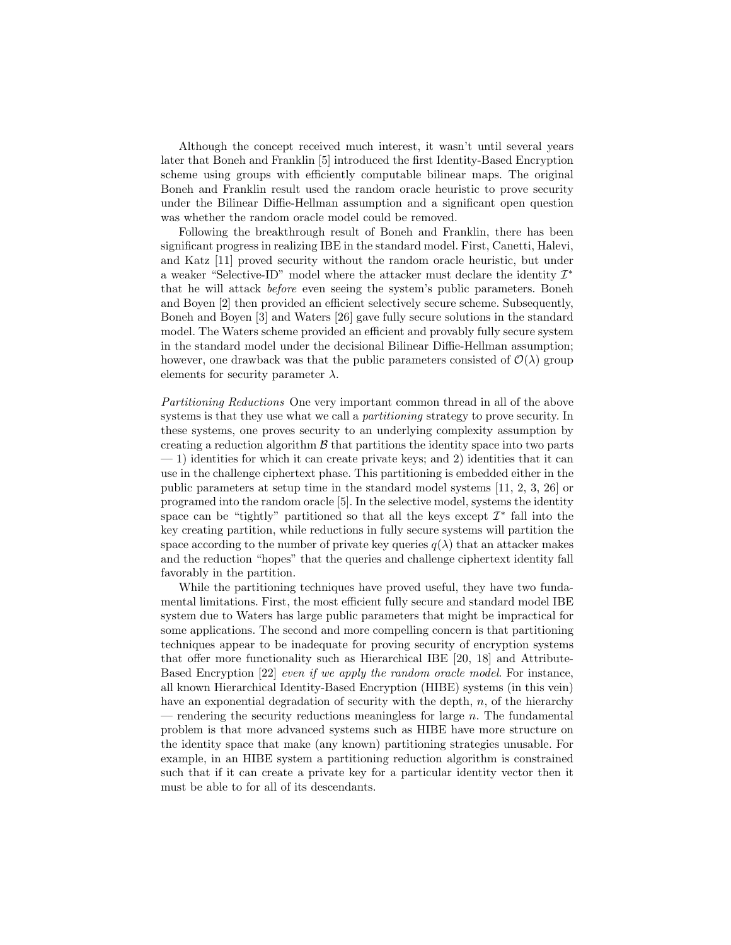Although the concept received much interest, it wasn't until several years later that Boneh and Franklin [5] introduced the first Identity-Based Encryption scheme using groups with efficiently computable bilinear maps. The original Boneh and Franklin result used the random oracle heuristic to prove security under the Bilinear Diffie-Hellman assumption and a significant open question was whether the random oracle model could be removed.

Following the breakthrough result of Boneh and Franklin, there has been significant progress in realizing IBE in the standard model. First, Canetti, Halevi, and Katz [11] proved security without the random oracle heuristic, but under a weaker "Selective-ID" model where the attacker must declare the identity  $\mathcal{I}^*$ that he will attack before even seeing the system's public parameters. Boneh and Boyen [2] then provided an efficient selectively secure scheme. Subsequently, Boneh and Boyen [3] and Waters [26] gave fully secure solutions in the standard model. The Waters scheme provided an efficient and provably fully secure system in the standard model under the decisional Bilinear Diffie-Hellman assumption; however, one drawback was that the public parameters consisted of  $\mathcal{O}(\lambda)$  group elements for security parameter  $\lambda$ .

Partitioning Reductions One very important common thread in all of the above systems is that they use what we call a *partitioning* strategy to prove security. In these systems, one proves security to an underlying complexity assumption by creating a reduction algorithm  $\beta$  that partitions the identity space into two parts  $-1$ ) identities for which it can create private keys; and 2) identities that it can use in the challenge ciphertext phase. This partitioning is embedded either in the public parameters at setup time in the standard model systems [11, 2, 3, 26] or programed into the random oracle [5]. In the selective model, systems the identity space can be "tightly" partitioned so that all the keys except  $\mathcal{I}^*$  fall into the key creating partition, while reductions in fully secure systems will partition the space according to the number of private key queries  $q(\lambda)$  that an attacker makes and the reduction "hopes" that the queries and challenge ciphertext identity fall favorably in the partition.

While the partitioning techniques have proved useful, they have two fundamental limitations. First, the most efficient fully secure and standard model IBE system due to Waters has large public parameters that might be impractical for some applications. The second and more compelling concern is that partitioning techniques appear to be inadequate for proving security of encryption systems that offer more functionality such as Hierarchical IBE [20, 18] and Attribute-Based Encryption [22] even if we apply the random oracle model. For instance, all known Hierarchical Identity-Based Encryption (HIBE) systems (in this vein) have an exponential degradation of security with the depth,  $n$ , of the hierarchy – rendering the security reductions meaningless for large  $n$ . The fundamental problem is that more advanced systems such as HIBE have more structure on the identity space that make (any known) partitioning strategies unusable. For example, in an HIBE system a partitioning reduction algorithm is constrained such that if it can create a private key for a particular identity vector then it must be able to for all of its descendants.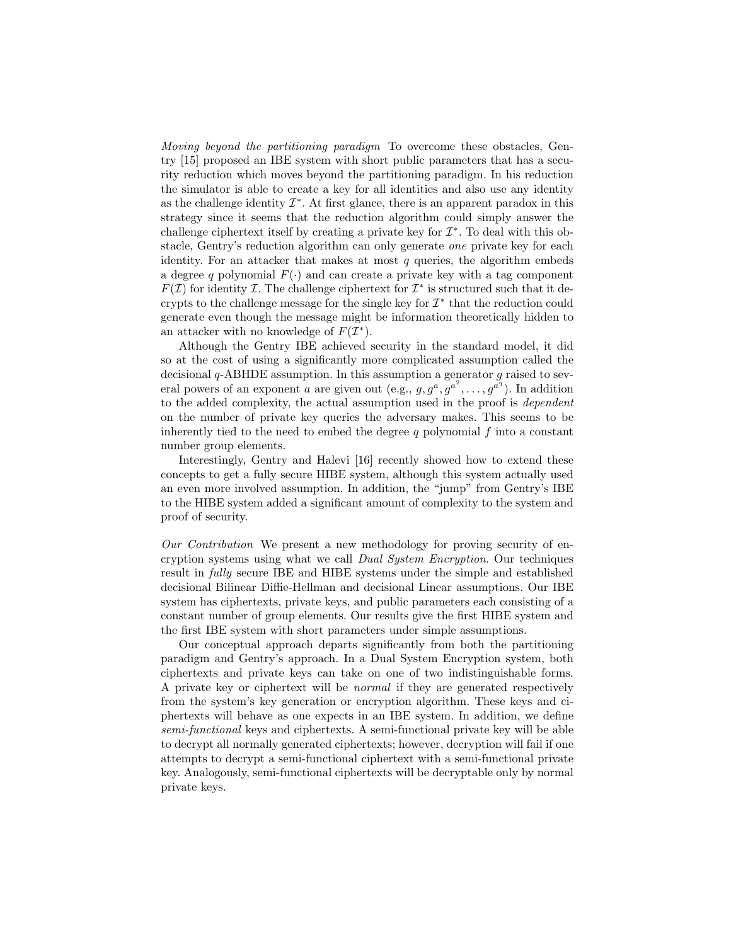Moving beyond the partitioning paradigm To overcome these obstacles, Gentry [15] proposed an IBE system with short public parameters that has a security reduction which moves beyond the partitioning paradigm. In his reduction the simulator is able to create a key for all identities and also use any identity as the challenge identity  $\mathcal{I}^*$ . At first glance, there is an apparent paradox in this strategy since it seems that the reduction algorithm could simply answer the challenge ciphertext itself by creating a private key for  $\mathcal{I}^*$ . To deal with this obstacle, Gentry's reduction algorithm can only generate one private key for each identity. For an attacker that makes at most  $q$  queries, the algorithm embeds a degree q polynomial  $F(\cdot)$  and can create a private key with a tag component  $F(\mathcal{I})$  for identity  $\mathcal{I}$ . The challenge ciphertext for  $\mathcal{I}^*$  is structured such that it decrypts to the challenge message for the single key for  $\mathcal{I}^*$  that the reduction could generate even though the message might be information theoretically hidden to an attacker with no knowledge of  $F(\mathcal{I}^*)$ .

Although the Gentry IBE achieved security in the standard model, it did so at the cost of using a significantly more complicated assumption called the decisional  $q$ -ABHDE assumption. In this assumption a generator  $q$  raised to several powers of an exponent a are given out (e.g.,  $g, g^a, g^{a^2}, \ldots, g^{a^q}$ ). In addition to the added complexity, the actual assumption used in the proof is dependent on the number of private key queries the adversary makes. This seems to be inherently tied to the need to embed the degree q polynomial  $f$  into a constant number group elements.

Interestingly, Gentry and Halevi [16] recently showed how to extend these concepts to get a fully secure HIBE system, although this system actually used an even more involved assumption. In addition, the "jump" from Gentry's IBE to the HIBE system added a significant amount of complexity to the system and proof of security.

Our Contribution We present a new methodology for proving security of encryption systems using what we call Dual System Encryption. Our techniques result in fully secure IBE and HIBE systems under the simple and established decisional Bilinear Diffie-Hellman and decisional Linear assumptions. Our IBE system has ciphertexts, private keys, and public parameters each consisting of a constant number of group elements. Our results give the first HIBE system and the first IBE system with short parameters under simple assumptions.

Our conceptual approach departs significantly from both the partitioning paradigm and Gentry's approach. In a Dual System Encryption system, both ciphertexts and private keys can take on one of two indistinguishable forms. A private key or ciphertext will be normal if they are generated respectively from the system's key generation or encryption algorithm. These keys and ciphertexts will behave as one expects in an IBE system. In addition, we define semi-functional keys and ciphertexts. A semi-functional private key will be able to decrypt all normally generated ciphertexts; however, decryption will fail if one attempts to decrypt a semi-functional ciphertext with a semi-functional private key. Analogously, semi-functional ciphertexts will be decryptable only by normal private keys.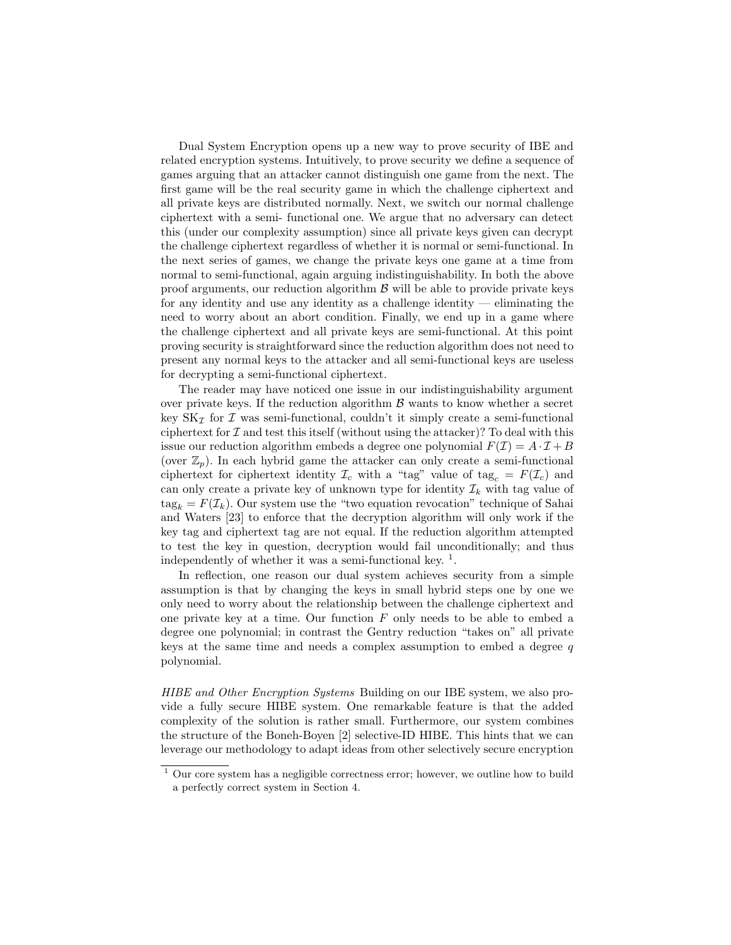Dual System Encryption opens up a new way to prove security of IBE and related encryption systems. Intuitively, to prove security we define a sequence of games arguing that an attacker cannot distinguish one game from the next. The first game will be the real security game in which the challenge ciphertext and all private keys are distributed normally. Next, we switch our normal challenge ciphertext with a semi- functional one. We argue that no adversary can detect this (under our complexity assumption) since all private keys given can decrypt the challenge ciphertext regardless of whether it is normal or semi-functional. In the next series of games, we change the private keys one game at a time from normal to semi-functional, again arguing indistinguishability. In both the above proof arguments, our reduction algorithm  $\beta$  will be able to provide private keys for any identity and use any identity as a challenge identity — eliminating the need to worry about an abort condition. Finally, we end up in a game where the challenge ciphertext and all private keys are semi-functional. At this point proving security is straightforward since the reduction algorithm does not need to present any normal keys to the attacker and all semi-functional keys are useless for decrypting a semi-functional ciphertext.

The reader may have noticed one issue in our indistinguishability argument over private keys. If the reduction algorithm  $\beta$  wants to know whether a secret key  $SK_{\mathcal{I}}$  for  $\mathcal I$  was semi-functional, couldn't it simply create a semi-functional ciphertext for  $\mathcal I$  and test this itself (without using the attacker)? To deal with this issue our reduction algorithm embeds a degree one polynomial  $F(\mathcal{I}) = A \cdot \mathcal{I} + B$ (over  $\mathbb{Z}_p$ ). In each hybrid game the attacker can only create a semi-functional ciphertext for ciphertext identity  $\mathcal{I}_c$  with a "tag" value of tag<sub>c</sub> =  $F(\mathcal{I}_c)$  and can only create a private key of unknown type for identity  $\mathcal{I}_k$  with tag value of  $\text{tag}_k = F(\mathcal{I}_k)$ . Our system use the "two equation revocation" technique of Sahai and Waters [23] to enforce that the decryption algorithm will only work if the key tag and ciphertext tag are not equal. If the reduction algorithm attempted to test the key in question, decryption would fail unconditionally; and thus independently of whether it was a semi-functional key.<sup>1</sup>.

In reflection, one reason our dual system achieves security from a simple assumption is that by changing the keys in small hybrid steps one by one we only need to worry about the relationship between the challenge ciphertext and one private key at a time. Our function  $F$  only needs to be able to embed a degree one polynomial; in contrast the Gentry reduction "takes on" all private keys at the same time and needs a complex assumption to embed a degree  $q$ polynomial.

HIBE and Other Encryption Systems Building on our IBE system, we also provide a fully secure HIBE system. One remarkable feature is that the added complexity of the solution is rather small. Furthermore, our system combines the structure of the Boneh-Boyen [2] selective-ID HIBE. This hints that we can leverage our methodology to adapt ideas from other selectively secure encryption

<sup>1</sup> Our core system has a negligible correctness error; however, we outline how to build a perfectly correct system in Section 4.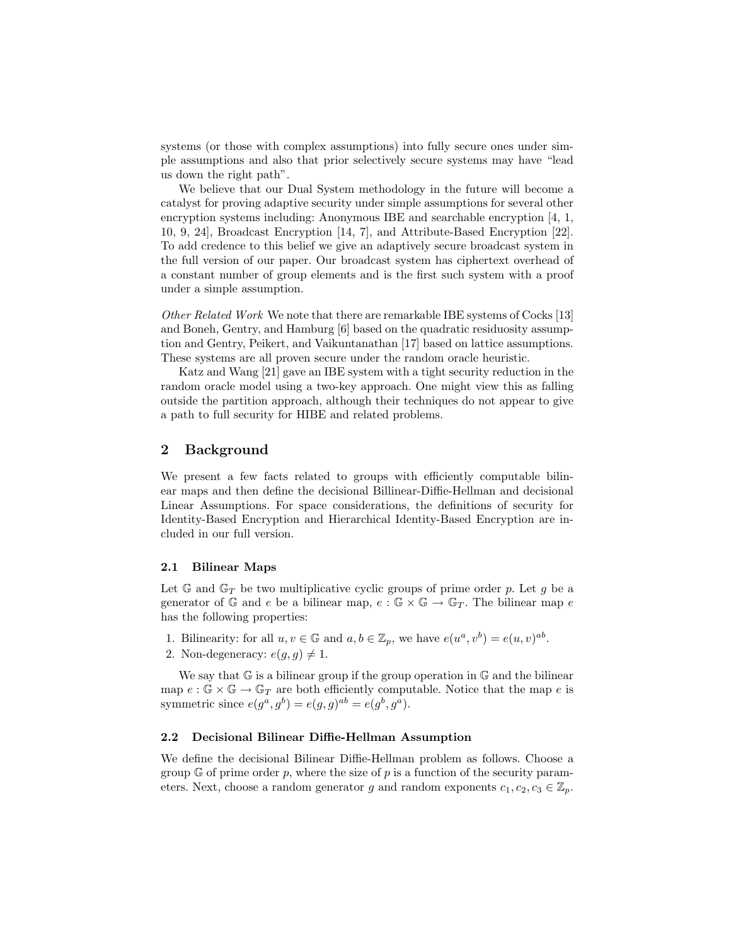systems (or those with complex assumptions) into fully secure ones under simple assumptions and also that prior selectively secure systems may have "lead us down the right path".

We believe that our Dual System methodology in the future will become a catalyst for proving adaptive security under simple assumptions for several other encryption systems including: Anonymous IBE and searchable encryption [4, 1, 10, 9, 24], Broadcast Encryption [14, 7], and Attribute-Based Encryption [22]. To add credence to this belief we give an adaptively secure broadcast system in the full version of our paper. Our broadcast system has ciphertext overhead of a constant number of group elements and is the first such system with a proof under a simple assumption.

Other Related Work We note that there are remarkable IBE systems of Cocks [13] and Boneh, Gentry, and Hamburg [6] based on the quadratic residuosity assumption and Gentry, Peikert, and Vaikuntanathan [17] based on lattice assumptions. These systems are all proven secure under the random oracle heuristic.

Katz and Wang [21] gave an IBE system with a tight security reduction in the random oracle model using a two-key approach. One might view this as falling outside the partition approach, although their techniques do not appear to give a path to full security for HIBE and related problems.

# 2 Background

We present a few facts related to groups with efficiently computable bilinear maps and then define the decisional Billinear-Diffie-Hellman and decisional Linear Assumptions. For space considerations, the definitions of security for Identity-Based Encryption and Hierarchical Identity-Based Encryption are included in our full version.

## 2.1 Bilinear Maps

Let  $\mathbb{G}$  and  $\mathbb{G}_T$  be two multiplicative cyclic groups of prime order p. Let g be a generator of G and e be a bilinear map,  $e : \mathbb{G} \times \mathbb{G} \to \mathbb{G}_T$ . The bilinear map e has the following properties:

- 1. Bilinearity: for all  $u, v \in \mathbb{G}$  and  $a, b \in \mathbb{Z}_p$ , we have  $e(u^a, v^b) = e(u, v)^{ab}$ .
- 2. Non-degeneracy:  $e(g, g) \neq 1$ .

We say that  $\mathbb G$  is a bilinear group if the group operation in  $\mathbb G$  and the bilinear map  $e : \mathbb{G} \times \mathbb{G} \to \mathbb{G}_T$  are both efficiently computable. Notice that the map e is symmetric since  $e(g^a, g^b) = e(g, g)^{ab} = e(g^b, g^a)$ .

## 2.2 Decisional Bilinear Diffie-Hellman Assumption

We define the decisional Bilinear Diffie-Hellman problem as follows. Choose a group  $\mathbb G$  of prime order p, where the size of p is a function of the security parameters. Next, choose a random generator g and random exponents  $c_1, c_2, c_3 \in \mathbb{Z}_p$ .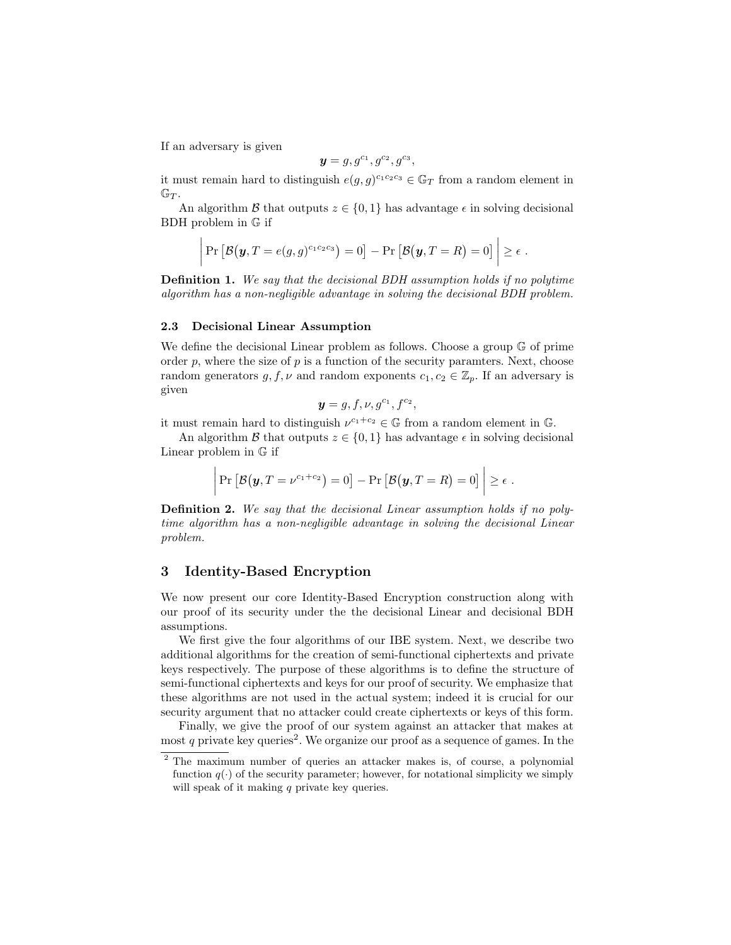If an adversary is given

$$
\mathbf{y} = g, g^{c_1}, g^{c_2}, g^{c_3},
$$

it must remain hard to distinguish  $e(g, g)^{c_1 c_2 c_3} \in \mathbb{G}_T$  from a random element in  $\mathbb{G}_T$ .

An algorithm B that outputs  $z \in \{0, 1\}$  has advantage  $\epsilon$  in solving decisional BDH problem in G if

$$
\bigg|\Pr\big[\mathcal{B}\big(\boldsymbol{y},T=e(g,g)^{c_1c_2c_3}\big)=0\big]-\Pr\big[\mathcal{B}\big(\boldsymbol{y},T=R\big)=0\big]\bigg|\geq \epsilon\;.
$$

Definition 1. We say that the decisional BDH assumption holds if no polytime algorithm has a non-negligible advantage in solving the decisional BDH problem.

## 2.3 Decisional Linear Assumption

We define the decisional Linear problem as follows. Choose a group  $\mathbb{G}$  of prime order  $p$ , where the size of  $p$  is a function of the security paramters. Next, choose random generators  $g, f, \nu$  and random exponents  $c_1, c_2 \in \mathbb{Z}_p$ . If an adversary is given

$$
\mathbf{y} = g, f, \nu, g^{c_1}, f^{c_2},
$$

it must remain hard to distinguish  $\nu^{c_1+c_2} \in \mathbb{G}$  from a random element in  $\mathbb{G}$ .

An algorithm B that outputs  $z \in \{0, 1\}$  has advantage  $\epsilon$  in solving decisional Linear problem in G if

$$
\left|\Pr\left[\mathcal{B}(\boldsymbol{y},T=\nu^{c_1+c_2})=0\right]-\Pr\left[\mathcal{B}(\boldsymbol{y},T=R)=0\right]\right|\geq\epsilon.
$$

Definition 2. We say that the decisional Linear assumption holds if no polytime algorithm has a non-negligible advantage in solving the decisional Linear problem.

# 3 Identity-Based Encryption

We now present our core Identity-Based Encryption construction along with our proof of its security under the the decisional Linear and decisional BDH assumptions.

We first give the four algorithms of our IBE system. Next, we describe two additional algorithms for the creation of semi-functional ciphertexts and private keys respectively. The purpose of these algorithms is to define the structure of semi-functional ciphertexts and keys for our proof of security. We emphasize that these algorithms are not used in the actual system; indeed it is crucial for our security argument that no attacker could create ciphertexts or keys of this form.

Finally, we give the proof of our system against an attacker that makes at most  $q$  private key queries<sup>2</sup>. We organize our proof as a sequence of games. In the

<sup>2</sup> The maximum number of queries an attacker makes is, of course, a polynomial function  $q(\cdot)$  of the security parameter; however, for notational simplicity we simply will speak of it making q private key queries.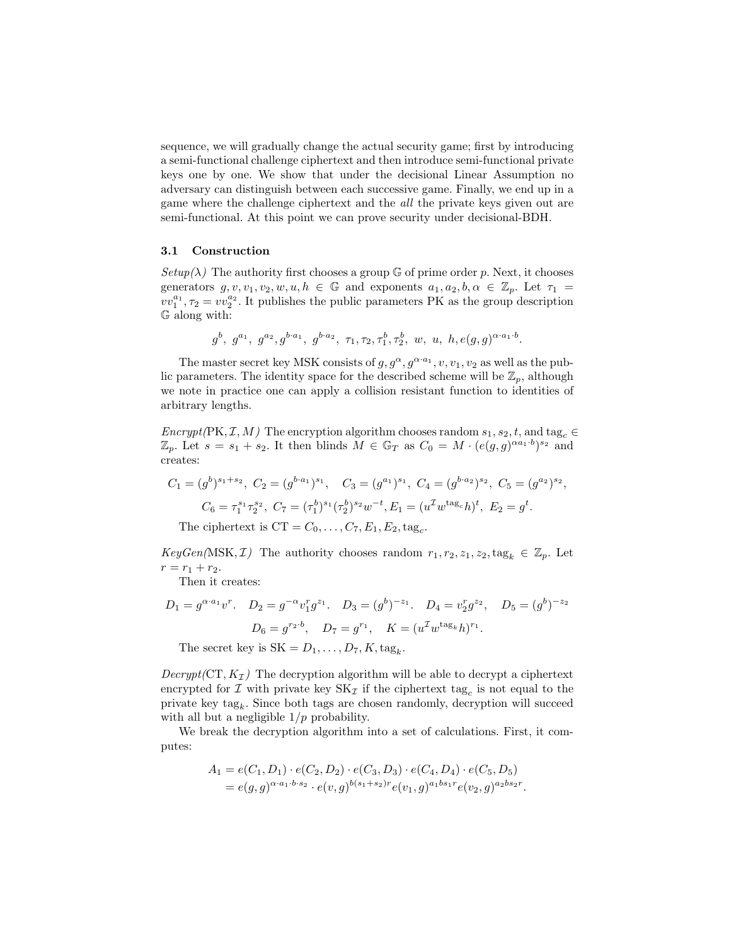sequence, we will gradually change the actual security game; first by introducing a semi-functional challenge ciphertext and then introduce semi-functional private keys one by one. We show that under the decisional Linear Assumption no adversary can distinguish between each successive game. Finally, we end up in a game where the challenge ciphertext and the all the private keys given out are semi-functional. At this point we can prove security under decisional-BDH.

#### 3.1 Construction

 $Setup(\lambda)$  The authority first chooses a group G of prime order p. Next, it chooses generators  $g, v, v_1, v_2, w, u, h \in \mathbb{G}$  and exponents  $a_1, a_2, b, \alpha \in \mathbb{Z}_p$ . Let  $\tau_1 =$  $vv_1^{a_1}, \tau_2 = vv_2^{a_2}$ . It publishes the public parameters PK as the group description G along with:

$$
g^{b},\;g^{a_{1}},\;g^{a_{2}},g^{b\cdot a_{1}},\;g^{b\cdot a_{2}},\;\tau_{1},\tau_{2},\tau_{1}^{b},\tau_{2}^{b},\;w,\;u,\;h,e(g,g)^{\alpha\cdot a_{1}\cdot b}.
$$

The master secret key MSK consists of  $g, g^{\alpha}, g^{\alpha \cdot a_1}, v, v_1, v_2$  as well as the public parameters. The identity space for the described scheme will be  $\mathbb{Z}_p$ , although we note in practice one can apply a collision resistant function to identities of arbitrary lengths.

 $\text{Encrypt(PK}, \mathcal{I}, M)$  The encryption algorithm chooses random  $s_1, s_2, t$ , and tag<sub>c</sub> ∈  $\mathbb{Z}_p$ . Let  $s = s_1 + s_2$ . It then blinds  $M \in \mathbb{G}_T$  as  $C_0 = M \cdot (e(g, g)^{\alpha a_1 \cdot b})^{s_2}$  and creates:

$$
C_1 = (g^{b})^{s_1 + s_2}, C_2 = (g^{b \cdot a_1})^{s_1}, C_3 = (g^{a_1})^{s_1}, C_4 = (g^{b \cdot a_2})^{s_2}, C_5 = (g^{a_2})^{s_2},
$$
  

$$
C_6 = \tau_1^{s_1} \tau_2^{s_2}, C_7 = (\tau_1^{b})^{s_1} (\tau_2^{b})^{s_2} w^{-t}, E_1 = (u^T w^{\text{tag}} \circ h)^t, E_2 = g^t.
$$

The ciphertext is  $CT = C_0, \ldots, C_7, E_1, E_2, \text{tag}_c$ .

 $KeyGen(MSK, \mathcal{I})$  The authority chooses random  $r_1, r_2, z_1, z_2, \text{tag}_k \in \mathbb{Z}_p$ . Let  $r = r_1 + r_2.$ 

Then it creates:

$$
D_1 = g^{\alpha \cdot a_1} v^r
$$
.  $D_2 = g^{-\alpha} v_1^r g^{z_1}$ .  $D_3 = (g^b)^{-z_1}$ .  $D_4 = v_2^r g^{z_2}$ ,  $D_5 = (g^b)^{-z_2}$   
 $D_6 = g^{r_2 \cdot b}$ ,  $D_7 = g^{r_1}$ ,  $K = (u^T w^{\text{tag}_k} h)^{r_1}$ .

The secret key is  $SK = D_1, \ldots, D_7, K, \text{tag}_k$ .

 $Decrypt(CT, K<sub>I</sub>)$  The decryption algorithm will be able to decrypt a ciphertext encrypted for  $\mathcal I$  with private key  $\mathrm{SK}_\mathcal I$  if the ciphertext tag<sub>c</sub> is not equal to the private key  $\text{tag}_k$ . Since both tags are chosen randomly, decryption will succeed with all but a negligible  $1/p$  probability.

We break the decryption algorithm into a set of calculations. First, it computes:

$$
A_1 = e(C_1, D_1) \cdot e(C_2, D_2) \cdot e(C_3, D_3) \cdot e(C_4, D_4) \cdot e(C_5, D_5)
$$
  
=  $e(g, g)^{\alpha \cdot a_1 \cdot b \cdot s_2} \cdot e(v, g)^{b(s_1 + s_2)r} e(v_1, g)^{a_1bs_1r} e(v_2, g)^{a_2bs_2r}.$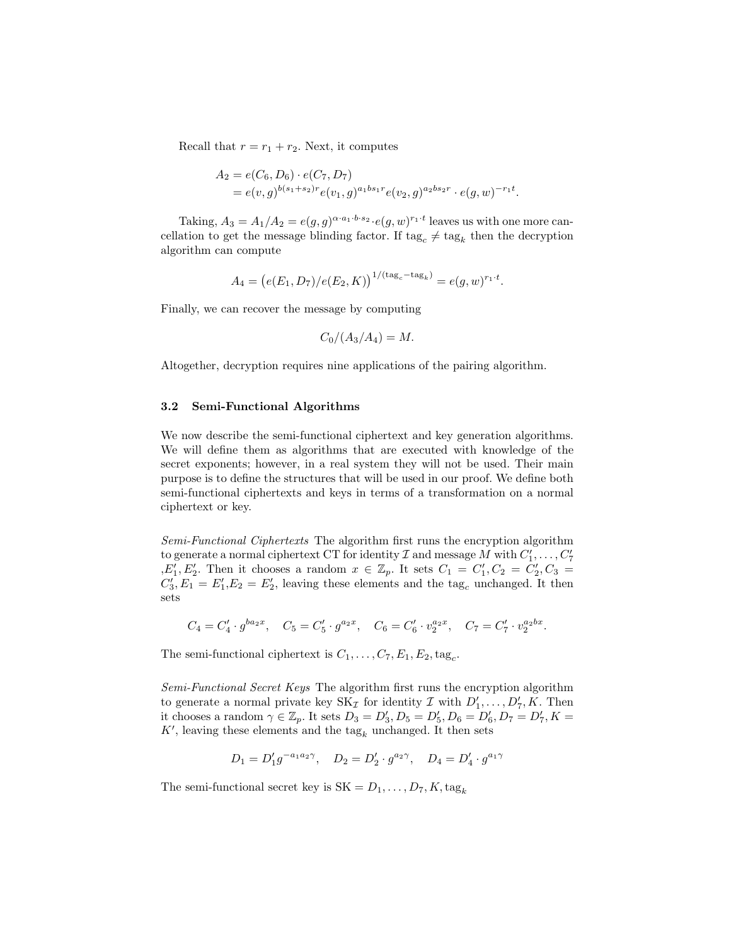Recall that  $r = r_1 + r_2$ . Next, it computes

$$
A_2 = e(C_6, D_6) \cdot e(C_7, D_7)
$$
  
=  $e(v, g)^{b(s_1+s_2)r} e(v_1, g)^{a_1bs_1r} e(v_2, g)^{a_2bs_2r} \cdot e(g, w)^{-r_1t}$ .

Taking,  $A_3 = A_1/A_2 = e(g, g)^{\alpha \cdot a_1 \cdot b \cdot s_2} \cdot e(g, w)^{r_1 \cdot t}$  leaves us with one more cancellation to get the message blinding factor. If  $\text{tag}_c \neq \text{tag}_k$  then the decryption algorithm can compute

$$
A_4 = (e(E_1, D_7)/e(E_2, K))^{1/(\text{tag}_c - \text{tag}_k)} = e(g, w)^{r_1 \cdot t}.
$$

Finally, we can recover the message by computing

$$
C_0/(A_3/A_4) = M.
$$

Altogether, decryption requires nine applications of the pairing algorithm.

## 3.2 Semi-Functional Algorithms

We now describe the semi-functional ciphertext and key generation algorithms. We will define them as algorithms that are executed with knowledge of the secret exponents; however, in a real system they will not be used. Their main purpose is to define the structures that will be used in our proof. We define both semi-functional ciphertexts and keys in terms of a transformation on a normal ciphertext or key.

Semi-Functional Ciphertexts The algorithm first runs the encryption algorithm to generate a normal ciphertext CT for identity  $\mathcal I$  and message  $M$  with  $C'_1,\ldots,C'_7$  $E'_1, E'_2$ . Then it chooses a random  $x \in \mathbb{Z}_p$ . It sets  $C_1 = C'_1, C_2 = C'_2, C_3 =$  $C'_3, E_1 = E'_1, E_2 = E'_2$ , leaving these elements and the tag<sub>c</sub> unchanged. It then sets

$$
C_4 = C'_4 \cdot g^{ba_2x}
$$
,  $C_5 = C'_5 \cdot g^{a_2x}$ ,  $C_6 = C'_6 \cdot v_2^{a_2x}$ ,  $C_7 = C'_7 \cdot v_2^{a_2bx}$ .

The semi-functional ciphertext is  $C_1, \ldots, C_7, E_1, E_2, \text{tag}_c$ .

Semi-Functional Secret Keys The algorithm first runs the encryption algorithm to generate a normal private key  $SK_{\mathcal{I}}$  for identity  $\mathcal{I}$  with  $D'_1, \ldots, D'_{7}, K$ . Then it chooses a random  $\gamma \in \mathbb{Z}_p$ . It sets  $D_3 = D'_3$ ,  $D_5 = D'_5$ ,  $D_6 = D'_6$ ,  $D_7 = D'_7$ ,  $K =$  $K^{\prime},$  leaving these elements and the  $\text{tag}_k$  unchanged. It then sets

$$
D_1 = D'_1 g^{-a_1 a_2 \gamma}, \quad D_2 = D'_2 \cdot g^{a_2 \gamma}, \quad D_4 = D'_4 \cdot g^{a_1 \gamma}
$$

The semi-functional secret key is  $SK = D_1, \ldots, D_7, K, \text{tag}_k$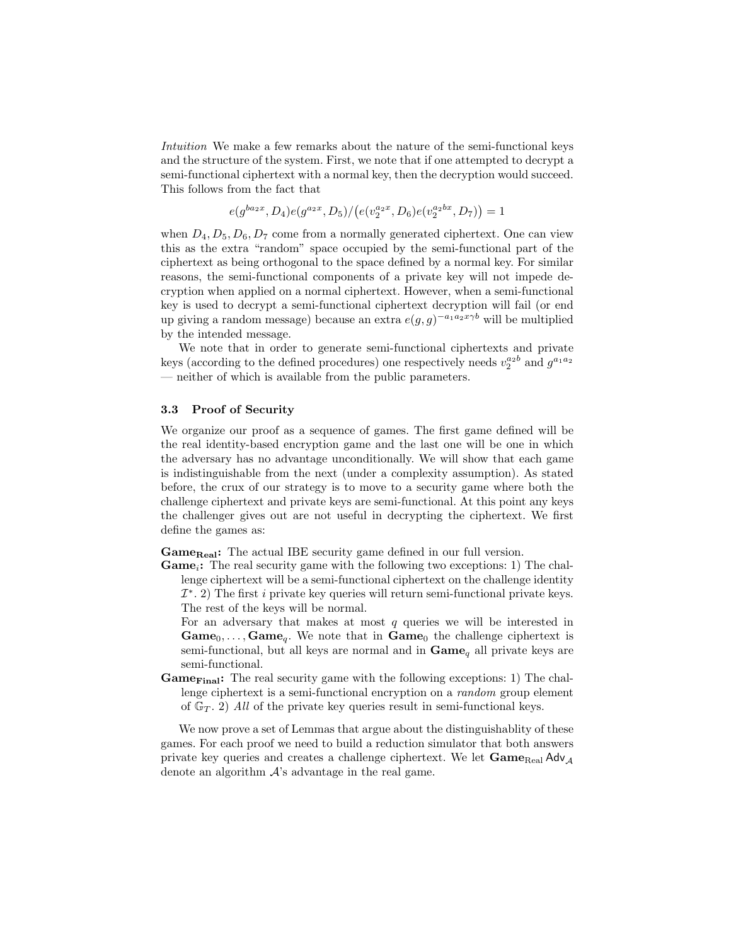Intuition We make a few remarks about the nature of the semi-functional keys and the structure of the system. First, we note that if one attempted to decrypt a semi-functional ciphertext with a normal key, then the decryption would succeed. This follows from the fact that

$$
e(g^{ba_2x}, D_4)e(g^{a_2x}, D_5)/\big(e(v_2^{a_2x}, D_6)e(v_2^{a_2bx}, D_7)\big) = 1
$$

when  $D_4, D_5, D_6, D_7$  come from a normally generated ciphertext. One can view this as the extra "random" space occupied by the semi-functional part of the ciphertext as being orthogonal to the space defined by a normal key. For similar reasons, the semi-functional components of a private key will not impede decryption when applied on a normal ciphertext. However, when a semi-functional key is used to decrypt a semi-functional ciphertext decryption will fail (or end up giving a random message) because an extra  $e(g, g)^{-a_1 a_2 x \gamma b}$  will be multiplied by the intended message.

We note that in order to generate semi-functional ciphertexts and private keys (according to the defined procedures) one respectively needs  $v_2^{a_2b}$  and  $g^{a_1a_2}$ — neither of which is available from the public parameters.

## 3.3 Proof of Security

We organize our proof as a sequence of games. The first game defined will be the real identity-based encryption game and the last one will be one in which the adversary has no advantage unconditionally. We will show that each game is indistinguishable from the next (under a complexity assumption). As stated before, the crux of our strategy is to move to a security game where both the challenge ciphertext and private keys are semi-functional. At this point any keys the challenger gives out are not useful in decrypting the ciphertext. We first define the games as:

Game<sub>Real</sub>: The actual IBE security game defined in our full version.

**Game**<sub>i</sub>: The real security game with the following two exceptions: 1) The challenge ciphertext will be a semi-functional ciphertext on the challenge identity  $I^*$ . 2) The first *i* private key queries will return semi-functional private keys. The rest of the keys will be normal.

For an adversary that makes at most  $q$  queries we will be interested in  $Game_0, \ldots, Game_q$ . We note that in  $Game_0$  the challenge ciphertext is semi-functional, but all keys are normal and in  $\mathbf{Game}_q$  all private keys are semi-functional.

**Game** $_{Final}$ : The real security game with the following exceptions: 1) The challenge ciphertext is a semi-functional encryption on a random group element of  $\mathbb{G}_T$ . 2) All of the private key queries result in semi-functional keys.

We now prove a set of Lemmas that argue about the distinguishablity of these games. For each proof we need to build a reduction simulator that both answers private key queries and creates a challenge ciphertext. We let  $\mathbf{Game}_{\text{Real}}\mathbf{Adv}_{\mathcal{A}}$ denote an algorithm  $A$ 's advantage in the real game.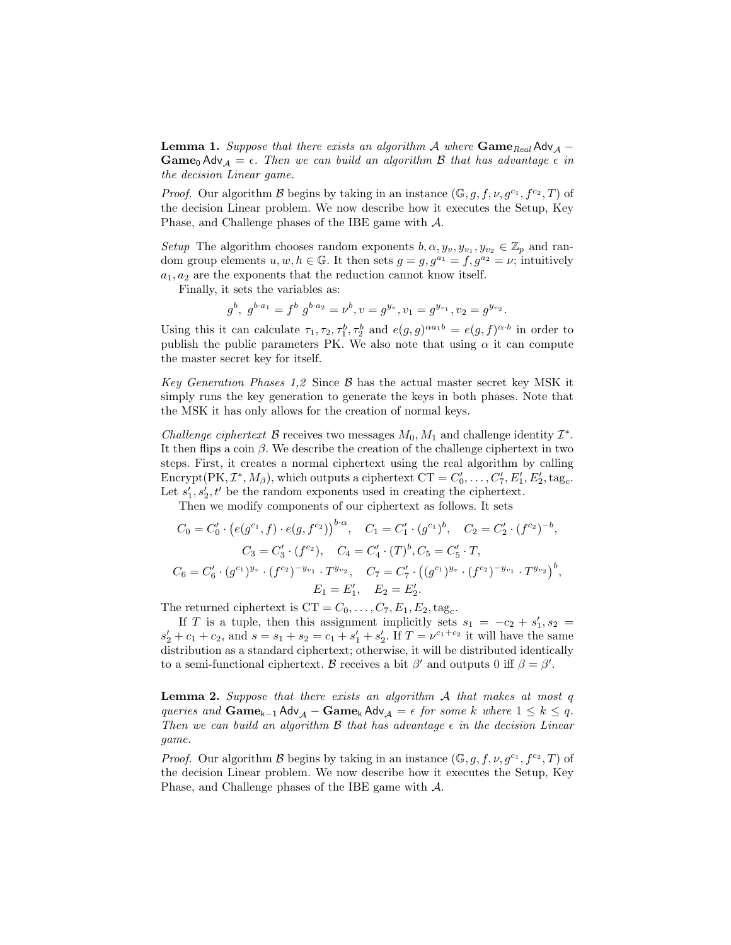**Lemma 1.** Suppose that there exists an algorithm A where  $\textbf{Game}_{Real}$  Adv<sub>A</sub> − **Game**<sub>0</sub> Adv<sub>A</sub> =  $\epsilon$ . Then we can build an algorithm B that has advantage  $\epsilon$  in the decision Linear game.

*Proof.* Our algorithm B begins by taking in an instance  $(\mathbb{G}, g, f, \nu, g^{c_1}, f^{c_2}, T)$  of the decision Linear problem. We now describe how it executes the Setup, Key Phase, and Challenge phases of the IBE game with A.

Setup The algorithm chooses random exponents  $b, \alpha, y_v, y_{v_1}, y_{v_2} \in \mathbb{Z}_p$  and random group elements  $u, w, h \in \mathbb{G}$ . It then sets  $g = g, g^{a_1} = f, g^{a_2} = \nu$ ; intuitively  $a_1, a_2$  are the exponents that the reduction cannot know itself.

Finally, it sets the variables as:

$$
g^{b}, g^{b \cdot a_1} = f^{b} g^{b \cdot a_2} = \nu^{b}, v = g^{y_v}, v_1 = g^{y_{v_1}}, v_2 = g^{y_{v_2}}.
$$

Using this it can calculate  $\tau_1, \tau_2, \tau_1^b, \tau_2^b$  and  $e(g, g)^{\alpha a_1 b} = e(g, f)^{\alpha \cdot b}$  in order to publish the public parameters PK. We also note that using  $\alpha$  it can compute the master secret key for itself.

Key Generation Phases 1,2 Since  $\beta$  has the actual master secret key MSK it simply runs the key generation to generate the keys in both phases. Note that the MSK it has only allows for the creation of normal keys.

Challenge ciphertext B receives two messages  $M_0, M_1$  and challenge identity  $\mathcal{I}^*$ . It then flips a coin  $\beta$ . We describe the creation of the challenge ciphertext in two steps. First, it creates a normal ciphertext using the real algorithm by calling Encrypt(PK,  $\mathcal{I}^*, M_\beta$ ), which outputs a ciphertext  $CT = C'_0, \ldots, C'_7, E'_1, E'_2, \text{tag}_c$ . Let  $s_1', s_2', t'$  be the random exponents used in creating the ciphertext.

Then we modify components of our ciphertext as follows. It sets

$$
C_0 = C'_0 \cdot (e(g^{c_1}, f) \cdot e(g, f^{c_2}))^{b \cdot \alpha}, \quad C_1 = C'_1 \cdot (g^{c_1})^b, \quad C_2 = C'_2 \cdot (f^{c_2})^{-b},
$$

$$
C_3 = C'_3 \cdot (f^{c_2}), \quad C_4 = C'_4 \cdot (T)^b, C_5 = C'_5 \cdot T,
$$

$$
C_6 = C'_6 \cdot (g^{c_1})^{y_v} \cdot (f^{c_2})^{-y_{v_1}} \cdot T^{y_{v_2}}, \quad C_7 = C'_7 \cdot ((g^{c_1})^{y_v} \cdot (f^{c_2})^{-y_{v_1}} \cdot T^{y_{v_2}})^b,
$$

$$
E_1 = E'_1, \quad E_2 = E'_2.
$$

The returned ciphertext is  $CT = C_0, \ldots, C_7, E_1, E_2, \text{tag}_c$ .

If T is a tuple, then this assignment implicitly sets  $s_1 = -c_2 + s_1'$ ,  $s_2 =$  $s'_2 + c_1 + c_2$ , and  $s = s_1 + s_2 = c_1 + s'_1 + s'_2$ . If  $T = \nu^{c_1+c_2}$  it will have the same distribution as a standard ciphertext; otherwise, it will be distributed identically to a semi-functional ciphertext. B receives a bit  $\beta'$  and outputs 0 iff  $\beta = \beta'$ .

**Lemma 2.** Suppose that there exists an algorithm  $A$  that makes at most  $q$ queries and  $\text{Game}_{k-1}$  Adv<sub>A</sub> –  $\text{Game}_k$  Adv<sub>A</sub> =  $\epsilon$  for some k where  $1 \leq k \leq q$ . Then we can build an algorithm  $\beta$  that has advantage  $\epsilon$  in the decision Linear game.

*Proof.* Our algorithm B begins by taking in an instance  $(\mathbb{G}, g, f, \nu, g^{c_1}, f^{c_2}, T)$  of the decision Linear problem. We now describe how it executes the Setup, Key Phase, and Challenge phases of the IBE game with A.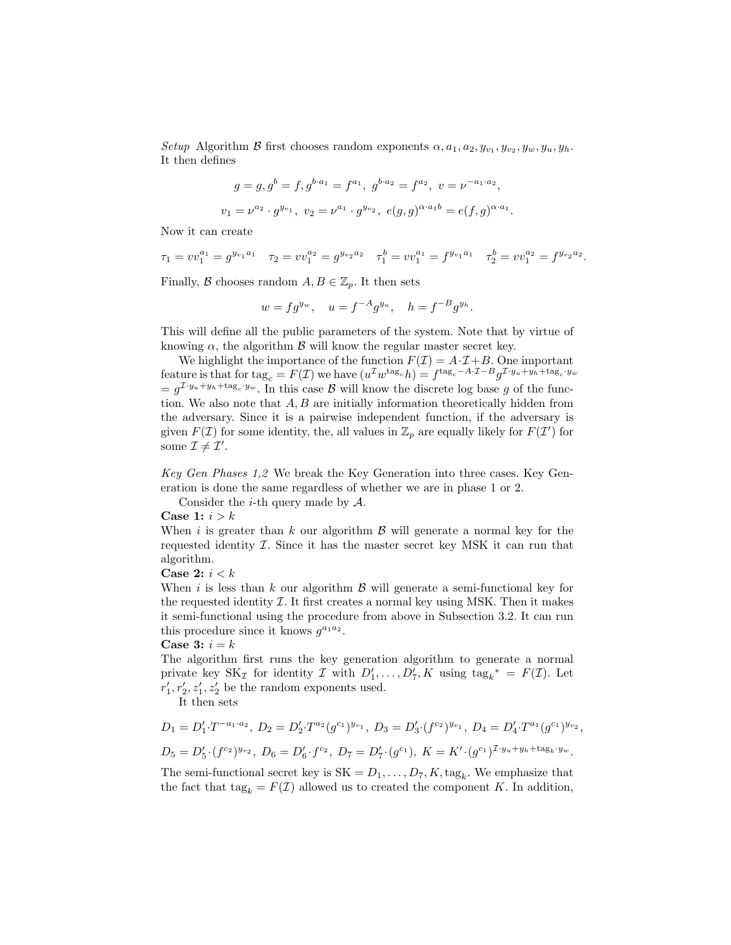Setup Algorithm B first chooses random exponents  $\alpha, a_1, a_2, y_{v_1}, y_{v_2}, y_w, y_u, y_h$ . It then defines

$$
g = g, g^{b} = f, g^{b \cdot a_1} = f^{a_1}, g^{b \cdot a_2} = f^{a_2}, v = \nu^{-a_1 \cdot a_2},
$$
  

$$
v_1 = \nu^{a_2} \cdot g^{y_{v_1}}, v_2 = \nu^{a_1} \cdot g^{y_{v_2}}, e(g, g)^{\alpha \cdot a_1 b} = e(f, g)^{\alpha \cdot a_1}.
$$

Now it can create

$$
\tau_1 = v v_1^{a_1} = g^{y_{v_1} a_1} \quad \tau_2 = v v_1^{a_2} = g^{y_{v_2} a_2} \quad \tau_1^b = v v_1^{a_1} = f^{y_{v_1} a_1} \quad \tau_2^b = v v_1^{a_2} = f^{y_{v_2} a_2}.
$$

Finally, B chooses random  $A, B \in \mathbb{Z}_p$ . It then sets

$$
w = fg^{y_w}
$$
,  $u = f^{-A}g^{y_u}$ ,  $h = f^{-B}g^{y_h}$ .

This will define all the public parameters of the system. Note that by virtue of knowing  $\alpha$ , the algorithm  $\beta$  will know the regular master secret key.

We highlight the importance of the function  $F(\mathcal{I}) = A \cdot \mathcal{I} + B$ . One important feature is that for  $\text{tag}_c = F(\mathcal{I})$  we have  $(u^{\mathcal{I}} w^{\text{tag}_c} h) = f^{\text{tag}_c - A \cdot \mathcal{I} - B} g^{\mathcal{I} \cdot y_u + y_h + \text{tag}_c \cdot y_w}$  $=g^{\mathcal{I}\cdot y_u+y_h+\text{tag}_c\cdot y_w}$ . In this case  $\mathcal B$  will know the discrete log base g of the function. We also note that  $A, B$  are initially information theoretically hidden from the adversary. Since it is a pairwise independent function, if the adversary is given  $F(\mathcal{I})$  for some identity, the, all values in  $\mathbb{Z}_p$  are equally likely for  $F(\mathcal{I}')$  for some  $\mathcal{I} \neq \mathcal{I}'$ .

Key Gen Phases 1,2 We break the Key Generation into three cases. Key Generation is done the same regardless of whether we are in phase 1 or 2.

Consider the *i*-th query made by  $A$ .

Case 1:  $i > k$ 

When i is greater than  $k$  our algorithm  $\beta$  will generate a normal key for the requested identity  $I$ . Since it has the master secret key MSK it can run that algorithm.

Case 2:  $i < k$ 

When i is less than k our algorithm  $\beta$  will generate a semi-functional key for the requested identity  $\mathcal I$ . It first creates a normal key using MSK. Then it makes it semi-functional using the procedure from above in Subsection 3.2. It can run this procedure since it knows  $g^{a_1 a_2}$ .

## Case 3:  $i = k$

The algorithm first runs the key generation algorithm to generate a normal private key  $SK_{\mathcal{I}}$  for identity  $\mathcal{I}$  with  $D'_1, \ldots, D'_{7}, K$  using  $\text{tag}_k^* = F(\mathcal{I})$ . Let  $r'_1, r'_2, z'_1, z'_2$  be the random exponents used.

It then sets

$$
D_1 = D'_1 \cdot T^{-a_1 \cdot a_2}, \ D_2 = D'_2 \cdot T^{a_2} (g^{c_1})^{y_{v_1}}, \ D_3 = D'_3 \cdot (f^{c_2})^{y_{v_1}}, \ D_4 = D'_4 \cdot T^{a_1} (g^{c_1})^{y_{v_2}},
$$
  

$$
D_5 = D'_5 \cdot (f^{c_2})^{y_{v_2}}, \ D_6 = D'_6 \cdot f^{c_2}, \ D_7 = D'_7 \cdot (g^{c_1}), \ K = K' \cdot (g^{c_1})^{x_{\cdot} y_u + y_h + \text{tag}_k \cdot y_w}.
$$

The semi-functional secret key is  $SK = D_1, \ldots, D_7, K, \text{tag}_k$ . We emphasize that the fact that tag<sub>k</sub> =  $F(\mathcal{I})$  allowed us to created the component K. In addition,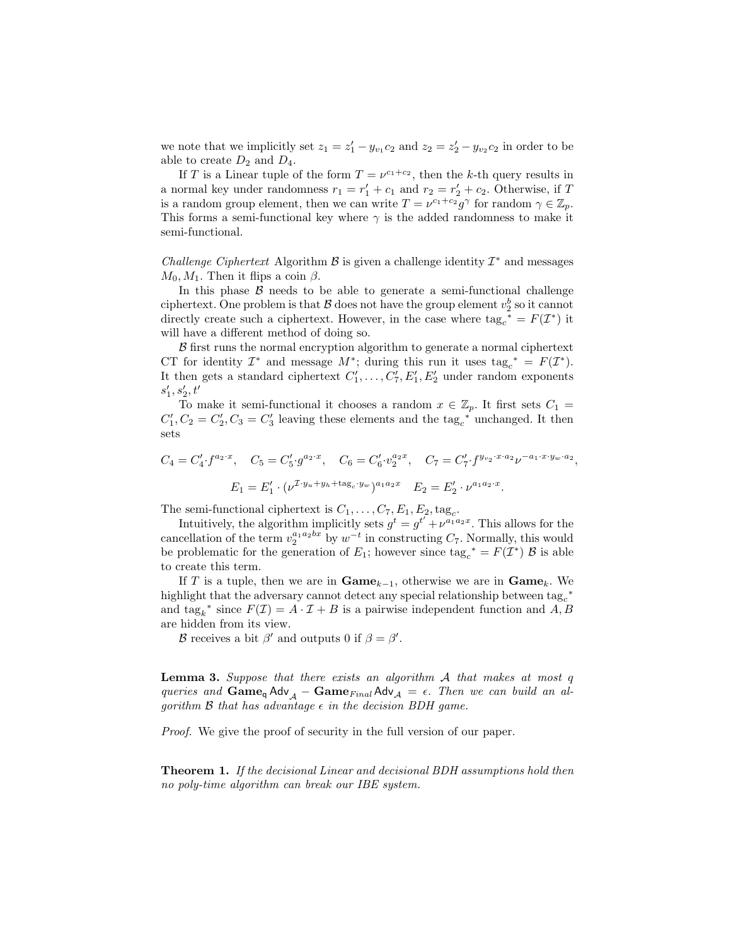we note that we implicitly set  $z_1 = z_1' - y_{v_1}c_2$  and  $z_2 = z_2' - y_{v_2}c_2$  in order to be able to create  $D_2$  and  $D_4$ .

If T is a Linear tuple of the form  $T = \nu^{c_1+c_2}$ , then the k-th query results in a normal key under randomness  $r_1 = r_1' + c_1$  and  $r_2 = r_2' + c_2$ . Otherwise, if T is a random group element, then we can write  $T = \nu^{c_1+c_2} g^{\gamma}$  for random  $\gamma \in \mathbb{Z}_p$ . This forms a semi-functional key where  $\gamma$  is the added randomness to make it semi-functional.

Challenge Ciphertext Algorithm  $\beta$  is given a challenge identity  $\mathcal{I}^*$  and messages  $M_0, M_1$ . Then it flips a coin  $\beta$ .

In this phase  $\beta$  needs to be able to generate a semi-functional challenge ciphertext. One problem is that  $\mathcal B$  does not have the group element  $v_2^b$  so it cannot directly create such a ciphertext. However, in the case where  $\text{tag}_c^* = F(\mathcal{I}^*)$  it will have a different method of doing so.

 $\beta$  first runs the normal encryption algorithm to generate a normal ciphertext CT for identity  $\mathcal{I}^*$  and message  $M^*$ ; during this run it uses  $\text{tag}_c^* = F(\mathcal{I}^*)$ . It then gets a standard ciphertext  $C'_1, \ldots, C'_7, E'_1, E'_2$  under random exponents  $s'_{1}, s'_{2}, t'$ 

To make it semi-functional it chooses a random  $x \in \mathbb{Z}_p$ . It first sets  $C_1 =$  $C'_1, C_2 = C'_2, C_3 = C'_3$  leaving these elements and the tag<sub>c</sub><sup>\*</sup> unchanged. It then sets

$$
C_4 = C'_4 \cdot f^{a_2 \cdot x}, \quad C_5 = C'_5 \cdot g^{a_2 \cdot x}, \quad C_6 = C'_6 \cdot v_2^{a_2 x}, \quad C_7 = C'_7 \cdot f^{y_{v_2} \cdot x \cdot a_2} \nu^{-a_1 \cdot x \cdot y_w \cdot a_2},
$$

$$
E_1 = E'_1 \cdot (\nu^{x \cdot y_u + y_h + \text{tag}_c \cdot y_w})^{a_1 a_2 x} \quad E_2 = E'_2 \cdot \nu^{a_1 a_2 \cdot x}.
$$

The semi-functional ciphertext is  $C_1, \ldots, C_7, E_1, E_2, \text{tag}_c$ .

Intuitively, the algorithm implicitly sets  $g^t = g^{t'} + \nu^{a_1 a_2 x}$ . This allows for the cancellation of the term  $v_2^{a_1 a_2 b x}$  by  $w^{-t}$  in constructing  $C_7$ . Normally, this would be problematic for the generation of  $E_1$ ; however since  $\text{tag}_c^* = F(\mathcal{I}^*) \mathcal{B}$  is able to create this term.

If T is a tuple, then we are in  $\mathbf{Game}_{k-1}$ , otherwise we are in  $\mathbf{Game}_k$ . We highlight that the adversary cannot detect any special relationship between  $\mathrm{tag}^{\,*}_c$ and  $\text{tag}_k^*$  since  $F(\mathcal{I}) = A \cdot \mathcal{I} + B$  is a pairwise independent function and  $A, B$ are hidden from its view.

B receives a bit  $\beta'$  and outputs 0 if  $\beta = \beta'$ .

**Lemma 3.** Suppose that there exists an algorithm  $A$  that makes at most  $q$ queries and  $\text{Game}_{q}$  Adv<sub>A</sub> –  $\text{Game}_{Final}$  Adv<sub>A</sub> =  $\epsilon$ . Then we can build an algorithm  $\mathcal B$  that has advantage  $\epsilon$  in the decision BDH game.

Proof. We give the proof of security in the full version of our paper.

Theorem 1. If the decisional Linear and decisional BDH assumptions hold then no poly-time algorithm can break our IBE system.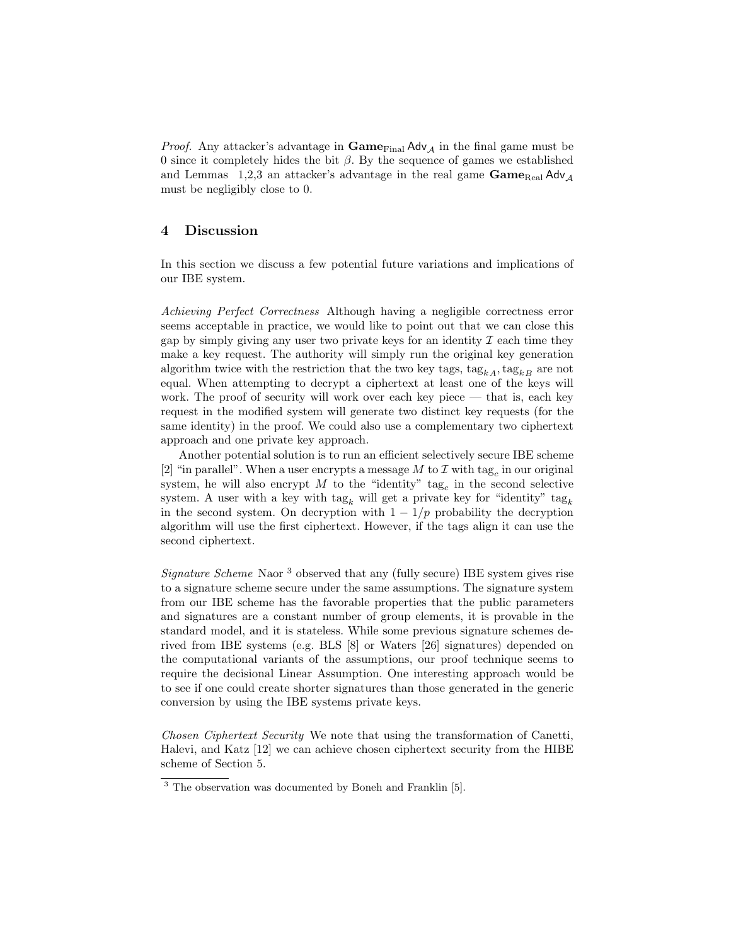*Proof.* Any attacker's advantage in  $\mathbf{Game}_{\text{Final}}$  Adv<sub>A</sub> in the final game must be 0 since it completely hides the bit  $\beta$ . By the sequence of games we established and Lemmas 1,2,3 an attacker's advantage in the real game  $\text{Game}_{\text{Real}}$  Adv<sub>A</sub> must be negligibly close to 0.

# 4 Discussion

In this section we discuss a few potential future variations and implications of our IBE system.

Achieving Perfect Correctness Although having a negligible correctness error seems acceptable in practice, we would like to point out that we can close this gap by simply giving any user two private keys for an identity  $\mathcal I$  each time they make a key request. The authority will simply run the original key generation algorithm twice with the restriction that the two key tags,  $\text{tag}_{kA}$ ,  $\text{tag}_{kB}$  are not equal. When attempting to decrypt a ciphertext at least one of the keys will work. The proof of security will work over each key piece  $-$  that is, each key request in the modified system will generate two distinct key requests (for the same identity) in the proof. We could also use a complementary two ciphertext approach and one private key approach.

Another potential solution is to run an efficient selectively secure IBE scheme [2] "in parallel". When a user encrypts a message  $M$  to  $\mathcal I$  with  $\text{tag}_c$  in our original system, he will also encrypt M to the "identity"  $\text{tag}_c$  in the second selective system. A user with a key with tag<sub>k</sub> will get a private key for "identity" tag<sub>k</sub> in the second system. On decryption with  $1 - 1/p$  probability the decryption algorithm will use the first ciphertext. However, if the tags align it can use the second ciphertext.

Signature Scheme Naor<sup>3</sup> observed that any (fully secure) IBE system gives rise to a signature scheme secure under the same assumptions. The signature system from our IBE scheme has the favorable properties that the public parameters and signatures are a constant number of group elements, it is provable in the standard model, and it is stateless. While some previous signature schemes derived from IBE systems (e.g. BLS [8] or Waters [26] signatures) depended on the computational variants of the assumptions, our proof technique seems to require the decisional Linear Assumption. One interesting approach would be to see if one could create shorter signatures than those generated in the generic conversion by using the IBE systems private keys.

Chosen Ciphertext Security We note that using the transformation of Canetti, Halevi, and Katz [12] we can achieve chosen ciphertext security from the HIBE scheme of Section 5.

<sup>3</sup> The observation was documented by Boneh and Franklin [5].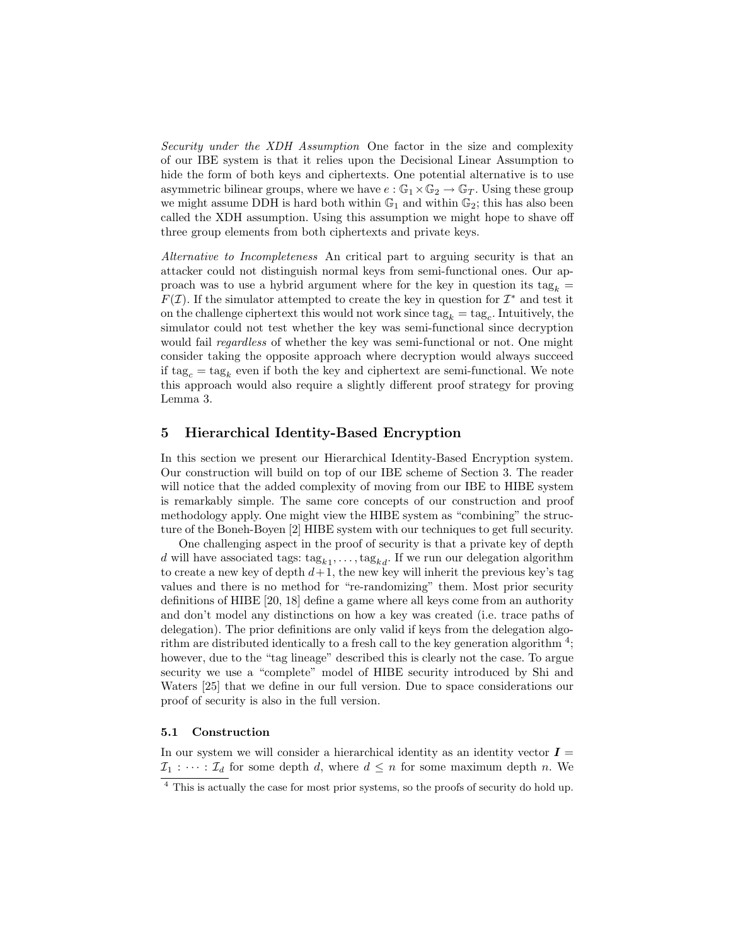Security under the XDH Assumption One factor in the size and complexity of our IBE system is that it relies upon the Decisional Linear Assumption to hide the form of both keys and ciphertexts. One potential alternative is to use asymmetric bilinear groups, where we have  $e : \mathbb{G}_1 \times \mathbb{G}_2 \to \mathbb{G}_T$ . Using these group we might assume DDH is hard both within  $\mathbb{G}_1$  and within  $\mathbb{G}_2$ ; this has also been called the XDH assumption. Using this assumption we might hope to shave off three group elements from both ciphertexts and private keys.

Alternative to Incompleteness An critical part to arguing security is that an attacker could not distinguish normal keys from semi-functional ones. Our approach was to use a hybrid argument where for the key in question its tag<sub>k</sub> =  $F(\mathcal{I})$ . If the simulator attempted to create the key in question for  $\mathcal{I}^*$  and test it on the challenge ciphertext this would not work since  $\text{tag}_k = \text{tag}_c$ . Intuitively, the simulator could not test whether the key was semi-functional since decryption would fail regardless of whether the key was semi-functional or not. One might consider taking the opposite approach where decryption would always succeed if  $\text{tag}_c = \text{tag}_k$  even if both the key and ciphertext are semi-functional. We note this approach would also require a slightly different proof strategy for proving Lemma 3.

# 5 Hierarchical Identity-Based Encryption

In this section we present our Hierarchical Identity-Based Encryption system. Our construction will build on top of our IBE scheme of Section 3. The reader will notice that the added complexity of moving from our IBE to HIBE system is remarkably simple. The same core concepts of our construction and proof methodology apply. One might view the HIBE system as "combining" the structure of the Boneh-Boyen [2] HIBE system with our techniques to get full security.

One challenging aspect in the proof of security is that a private key of depth d will have associated tags:  $\text{tag}_{k_1}, \ldots, \text{tag}_{k_d}$ . If we run our delegation algorithm to create a new key of depth  $d+1$ , the new key will inherit the previous key's tag values and there is no method for "re-randomizing" them. Most prior security definitions of HIBE [20, 18] define a game where all keys come from an authority and don't model any distinctions on how a key was created (i.e. trace paths of delegation). The prior definitions are only valid if keys from the delegation algorithm are distributed identically to a fresh call to the key generation algorithm  $\frac{4}{3}$ ; however, due to the "tag lineage" described this is clearly not the case. To argue security we use a "complete" model of HIBE security introduced by Shi and Waters [25] that we define in our full version. Due to space considerations our proof of security is also in the full version.

## 5.1 Construction

In our system we will consider a hierarchical identity as an identity vector  $\boldsymbol{I} =$  $\mathcal{I}_1 : \cdots : \mathcal{I}_d$  for some depth d, where  $d \leq n$  for some maximum depth n. We

<sup>&</sup>lt;sup>4</sup> This is actually the case for most prior systems, so the proofs of security do hold up.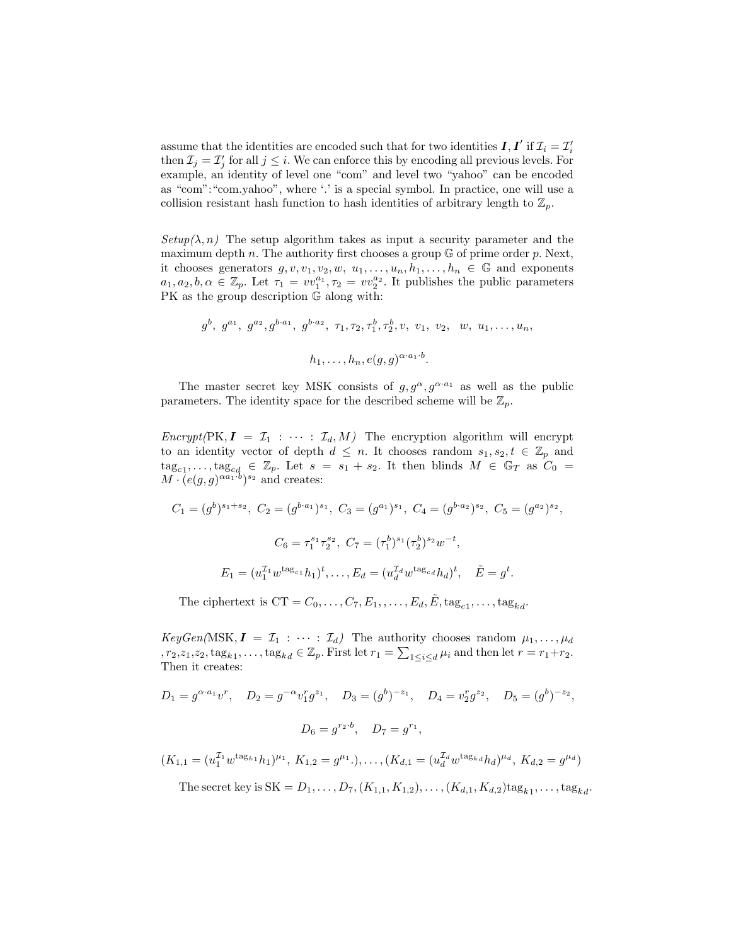assume that the identities are encoded such that for two identities  $\bm{I}, \bm{I}'$  if  $\mathcal{I}_i = \mathcal{I}'_i$ then  $\mathcal{I}_j = \mathcal{I}'_j$  for all  $j \leq i$ . We can enforce this by encoding all previous levels. For example, an identity of level one "com" and level two "yahoo" can be encoded as "com":"com.yahoo", where '.' is a special symbol. In practice, one will use a collision resistant hash function to hash identities of arbitrary length to  $\mathbb{Z}_p$ .

 $Setup(\lambda, n)$  The setup algorithm takes as input a security parameter and the maximum depth n. The authority first chooses a group  $\mathbb G$  of prime order p. Next, it chooses generators  $g, v, v_1, v_2, w, u_1, \ldots, u_n, h_1, \ldots, h_n \in \mathbb{G}$  and exponents  $a_1, a_2, b, \alpha \in \mathbb{Z}_p$ . Let  $\tau_1 = v v_1^{a_1}, \tau_2 = v v_2^{a_2}$ . It publishes the public parameters PK as the group description G along with:

$$
g^b
$$
,  $g^{a_1}$ ,  $g^{a_2}$ ,  $g^{b \cdot a_1}$ ,  $g^{b \cdot a_2}$ ,  $\tau_1$ ,  $\tau_2$ ,  $\tau_1^b$ ,  $\tau_2^b$ ,  $v$ ,  $v_1$ ,  $v_2$ ,  $w$ ,  $u_1$ , ...,  $u_n$ ,  
\n $h_1$ , ...,  $h_n$ ,  $e(g, g)^{\alpha \cdot a_1 \cdot b}$ .

The master secret key MSK consists of  $g, g^{\alpha}, g^{\alpha a_1}$  as well as the public parameters. The identity space for the described scheme will be  $\mathbb{Z}_p$ .

 $\text{Encrypt(PK, I = I}_1 : \cdots : I_d, M)$  The encryption algorithm will encrypt to an identity vector of depth  $d \leq n$ . It chooses random  $s_1, s_2, t \in \mathbb{Z}_p$  and  $\text{tag}_{c_1}, \ldots, \text{tag}_{c_d} \in \mathbb{Z}_p$ . Let  $s = s_1 + s_2$ . It then blinds  $M \in \mathbb{G}_T$  as  $C_0 =$  $M \cdot (e(g,g)^{\alpha a_1 \cdot b})^{s_2}$  and creates:

$$
C_1 = (g^{b})^{s_1 + s_2}, C_2 = (g^{b \cdot a_1})^{s_1}, C_3 = (g^{a_1})^{s_1}, C_4 = (g^{b \cdot a_2})^{s_2}, C_5 = (g^{a_2})^{s_2},
$$
  

$$
C_6 = \tau_1^{s_1} \tau_2^{s_2}, C_7 = (\tau_1^b)^{s_1} (\tau_2^b)^{s_2} w^{-t},
$$
  

$$
E_1 = (u_1^{\mathcal{I}_1} w^{\text{tag}_{c_1}} h_1)^t, \dots, E_d = (u_d^{\mathcal{I}_d} w^{\text{tag}_{c_d}} h_d)^t, \quad \tilde{E} = g^t.
$$

The ciphertext is  $CT = C_0, \ldots, C_7, E_1, \ldots, E_d, \tilde{E}, \text{tag}_{c_1}, \ldots, \text{tag}_{kd}$ .

 $KeyGen(MSK, I = \mathcal{I}_1 : \cdots : \mathcal{I}_d)$  The authority chooses random  $\mu_1, \ldots, \mu_d$  $, r_2, r_1, r_2, \text{tag}_{k1}, \ldots, \text{tag}_{kd} \in \mathbb{Z}_p$ . First let  $r_1 = \sum_{1 \leq i \leq d} \mu_i$  and then let  $r = r_1 + r_2$ . Then it creates:

$$
D_1 = g^{\alpha \cdot a_1} v^r
$$
,  $D_2 = g^{-\alpha} v_1^r g^{z_1}$ ,  $D_3 = (g^b)^{-z_1}$ ,  $D_4 = v_2^r g^{z_2}$ ,  $D_5 = (g^b)^{-z_2}$ ,  
 $D_6 = g^{r_2 \cdot b}$ ,  $D_7 = g^{r_1}$ ,

$$
(K_{1,1} = (u_1^{\mathcal{I}_1} w^{\text{tag}_{k1}} h_1)^{\mu_1}, K_{1,2} = g^{\mu_1} \cdot), \dots, (K_{d,1} = (u_d^{\mathcal{I}_d} w^{\text{tag}_{kd}} h_d)^{\mu_d}, K_{d,2} = g^{\mu_d})
$$

The secret key is  $SK = D_1, \ldots, D_7, (K_{1,1}, K_{1,2}), \ldots, (K_{d,1}, K_{d,2})$ tag<sub>k1</sub>, ..., tag<sub>kd</sub>.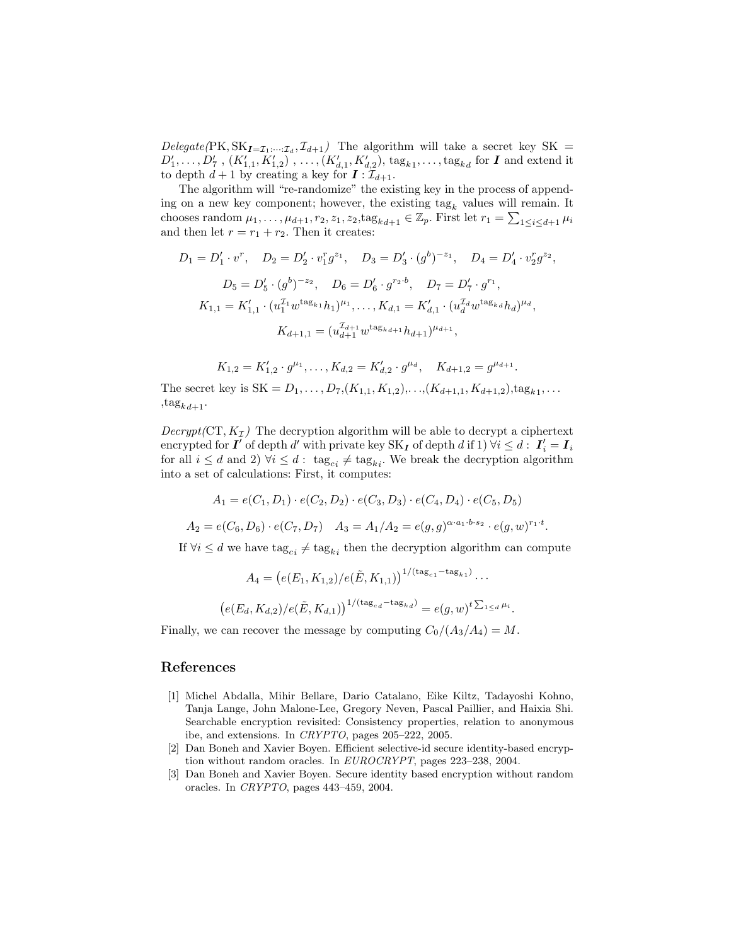$Delegate(PK, SK_{I=\mathcal{I}_1:\cdots:\mathcal{I}_d}, \mathcal{I}_{d+1})$  The algorithm will take a secret key SK =  $D'_1, \ldots, D'_7$ ,  $(K'_{1,1}, K'_{1,2})$ ,  $\ldots, (K'_{d,1}, K'_{d,2})$ ,  $\text{tag}_{k1}, \ldots, \text{tag}_{k_d}$  for **I** and extend it to depth  $d+1$  by creating a key for  $\mathbf{I} : \mathcal{I}_{d+1}$ .

The algorithm will "re-randomize" the existing key in the process of appending on a new key component; however, the existing  $\text{tag}_k$  values will remain. It chooses random  $\mu_1, \ldots, \mu_{d+1}, r_2, z_1, z_2, \text{tag}_{k,d+1} \in \mathbb{Z}_p$ . First let  $r_1 = \sum_{1 \leq i \leq d+1} \mu_i$ and then let  $r = r_1 + r_2$ . Then it creates:

$$
D_1 = D'_1 \cdot v^r, \quad D_2 = D'_2 \cdot v_1^r g^{z_1}, \quad D_3 = D'_3 \cdot (g^b)^{-z_1}, \quad D_4 = D'_4 \cdot v_2^r g^{z_2},
$$

$$
D_5 = D'_5 \cdot (g^b)^{-z_2}, \quad D_6 = D'_6 \cdot g^{r_2 \cdot b}, \quad D_7 = D'_7 \cdot g^{r_1},
$$

$$
K_{1,1} = K'_{1,1} \cdot (u_1^{T_1} w^{\text{tag}_{k+1}} h_1)^{\mu_1}, \dots, K_{d,1} = K'_{d,1} \cdot (u_d^{T_d} w^{\text{tag}_{k+d}} h_d)^{\mu_d},
$$

$$
K_{d+1,1} = (u_{d+1}^{T_{d+1}} w^{\text{tag}_{k+d+1}} h_{d+1})^{\mu_{d+1}},
$$

$$
K_{1,2} = K'_{1,2} \cdot g^{\mu_1}, \dots, K_{d,2} = K'_{d,2} \cdot g^{\mu_d}, \quad K_{d+1,2} = g^{\mu_{d+1}}.
$$

The secret key is  $SK = D_1, \ldots, D_7, (K_{1,1}, K_{1,2}), \ldots, (K_{d+1,1}, K_{d+1,2}), tag_{k_1}, \ldots$  $, \text{tag}_{k d+1}.$ 

 $Decrypt(CT, K_I)$  The decryption algorithm will be able to decrypt a ciphertext encrypted for  $I'$  of depth d' with private key SK<sub>I</sub> of depth d if 1)  $\forall i \leq d : I'_i = I_i$ for all  $i \leq d$  and 2)  $\forall i \leq d$ :  $\text{tag}_{ci} \neq \text{tag}_{ki}$ . We break the decryption algorithm into a set of calculations: First, it computes:

$$
A_1 = e(C_1, D_1) \cdot e(C_2, D_2) \cdot e(C_3, D_3) \cdot e(C_4, D_4) \cdot e(C_5, D_5)
$$

$$
A_2 = e(C_6, D_6) \cdot e(C_7, D_7) \quad A_3 = A_1/A_2 = e(g, g)^{\alpha \cdot a_1 \cdot b \cdot s_2} \cdot e(g, w)^{r_1 \cdot t}.
$$

If  $\forall i \leq d$  we have  $\text{tag}_{c_i} \neq \text{tag}_{k_i}$  then the decryption algorithm can compute

$$
A_4 = (e(E_1, K_{1,2})/e(\tilde{E}, K_{1,1}))^{1/(\text{tag}_{c1} - \text{tag}_{k1})} \dots
$$

$$
(e(E_d, K_{d,2})/e(\tilde{E}, K_{d,1}))^{1/(\text{tag}_{c,d} - \text{tag}_{k,d})} = e(g, w)^t \sum_{1 \le d} \mu_i.
$$

Finally, we can recover the message by computing  $C_0/(A_3/A_4) = M$ .

# References

- [1] Michel Abdalla, Mihir Bellare, Dario Catalano, Eike Kiltz, Tadayoshi Kohno, Tanja Lange, John Malone-Lee, Gregory Neven, Pascal Paillier, and Haixia Shi. Searchable encryption revisited: Consistency properties, relation to anonymous ibe, and extensions. In CRYPTO, pages 205–222, 2005.
- [2] Dan Boneh and Xavier Boyen. Efficient selective-id secure identity-based encryption without random oracles. In EUROCRYPT, pages 223–238, 2004.
- [3] Dan Boneh and Xavier Boyen. Secure identity based encryption without random oracles. In CRYPTO, pages 443–459, 2004.